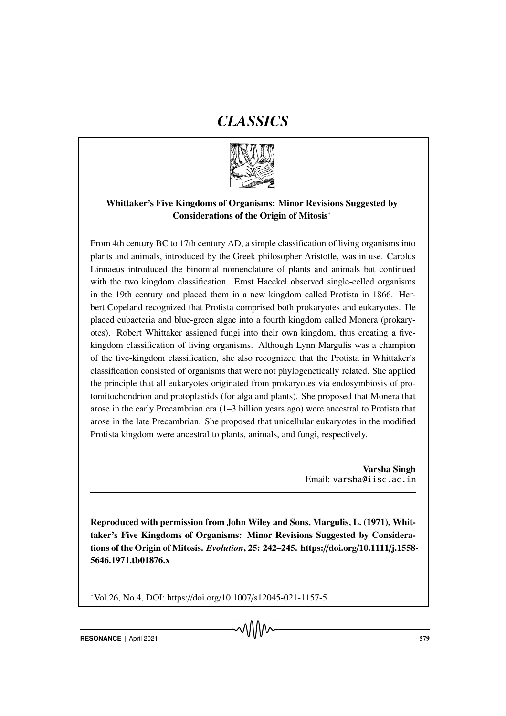# *CLASSICS*



## Whittaker's Five Kingdoms of Organisms: Minor Revisions Suggested by Considerations of the Origin of Mitosis<sup>∗</sup>

From 4th century BC to 17th century AD, a simple classification of living organisms into plants and animals, introduced by the Greek philosopher Aristotle, was in use. Carolus Linnaeus introduced the binomial nomenclature of plants and animals but continued with the two kingdom classification. Ernst Haeckel observed single-celled organisms in the 19th century and placed them in a new kingdom called Protista in 1866. Herbert Copeland recognized that Protista comprised both prokaryotes and eukaryotes. He placed eubacteria and blue-green algae into a fourth kingdom called Monera (prokaryotes). Robert Whittaker assigned fungi into their own kingdom, thus creating a fivekingdom classification of living organisms. Although Lynn Margulis was a champion of the five-kingdom classification, she also recognized that the Protista in Whittaker's classification consisted of organisms that were not phylogenetically related. She applied the principle that all eukaryotes originated from prokaryotes via endosymbiosis of protomitochondrion and protoplastids (for alga and plants). She proposed that Monera that arose in the early Precambrian era (1–3 billion years ago) were ancestral to Protista that arose in the late Precambrian. She proposed that unicellular eukaryotes in the modified Protista kingdom were ancestral to plants, animals, and fungi, respectively.

> Varsha Singh Email: varsha@iisc.ac.in

Reproduced with permission from John Wiley and Sons, Margulis, L. (1971), Whittaker's Five Kingdoms of Organisms: Minor Revisions Suggested by Considerations of the Origin of Mitosis. *Evolution*, 25: 242–245. https://doi.org/10.1111/j.1558- 5646.1971.tb01876.x

<sup>∗</sup>Vol.26, No.4, DOI: https://doi.org/10.1007/s12045-021-1157-5

**RESONANCE** | April 2021 **ST9**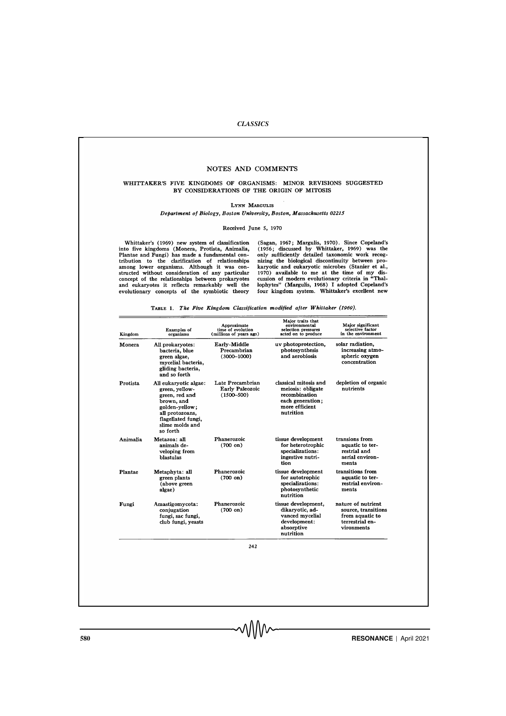#### *CLASSICS*

#### NOTES AND COMMENTS

#### WHITTAKER'S FIVE KINGDOMS OF ORGANISMS: MINOR REVISIONS SUGGESTED BY CONSIDERATIONS OF THE ORIGIN OF MITOSIS

LYNN MARGULIS

Department of Biology, Boston University, Boston, Massachusetts 02215

Received June 5, 1970

Whittaker's (1969) new system of classification<br>into five kingdoms (Monera, Protista, Animalia,<br>Plantae and Fungi) has made a fundamental con-<br>tribution to the clarification of relationships<br>among lower organisms. Although

(Sagan, 1967; Margulis, 1970). Since Copeland's (1956; discussed by Whittaker, 1969) was the only sufficiently detailed taxonomic work recognizing the biological discontinuity between pro-<br>karyotic and eukaryotic microbes

| All prokaryotes:<br>bacteria, blue<br>green algae,<br>mycelial bacteria,<br>gliding bacteria,<br>and so forth<br>All eukaryotic algae:<br>green, yellow-<br>green, red and<br>brown, and<br>golden-yellow;<br>all protozoans, | Early-Middle<br>Precambrian<br>$(3000 - 1000)$<br>Late Precambrian<br>Early Paleozoic<br>$(1500 - 500)$                                                                            | uv photoprotection.<br>photosynthesis<br>and aerobiosis<br>classical mitosis and<br>meiosis: obligate<br>recombination | solar radiation,<br>increasing atmo-<br>spheric oxygen<br>concentration<br>depletion of organic<br>nutrients |
|-------------------------------------------------------------------------------------------------------------------------------------------------------------------------------------------------------------------------------|------------------------------------------------------------------------------------------------------------------------------------------------------------------------------------|------------------------------------------------------------------------------------------------------------------------|--------------------------------------------------------------------------------------------------------------|
|                                                                                                                                                                                                                               |                                                                                                                                                                                    |                                                                                                                        |                                                                                                              |
| flagellated fungi,<br>slime molds and<br>so forth                                                                                                                                                                             |                                                                                                                                                                                    | each generation;<br>more efficient<br>nutrition                                                                        |                                                                                                              |
| Metazoa: all                                                                                                                                                                                                                  | Phanerozoic<br>$(700 \text{ on})$                                                                                                                                                  | tissue development<br>for heterotrophic<br>specializations:<br>ingestive nutri-<br>tion                                | transions from<br>aquatic to ter-<br>restrial and<br>aerial environ-<br>ments                                |
|                                                                                                                                                                                                                               | Phanerozoic<br>$(700 \text{ on})$                                                                                                                                                  | tissue development<br>for autotrophic<br>specializations:<br>photosynthetic<br>nutrition                               | transitions from<br>aquatic to ter-<br>restrial environ-<br>ments                                            |
|                                                                                                                                                                                                                               | Phanerozoic<br>$(700 \text{ on})$                                                                                                                                                  | tissue development,<br>dikaryotic, ad-<br>vanced mycelial<br>development:<br>absorptive<br>nutrition                   | nature of nutrient.<br>source, transitions<br>from aquatic to<br>terrestrial en-<br>vironments               |
|                                                                                                                                                                                                                               | animals de-<br>veloping from<br>blastulas<br>Metaphyta: all<br>green plants<br>(above green<br>algae)<br>Amastigomycota:<br>conjugation<br>fungi, sac fungi,<br>club fungi, yeasts | 242                                                                                                                    |                                                                                                              |

TABLE 1. The Five Kingdom Classification modified after Whittaker (1969).

**FRESONANCE** | April 2021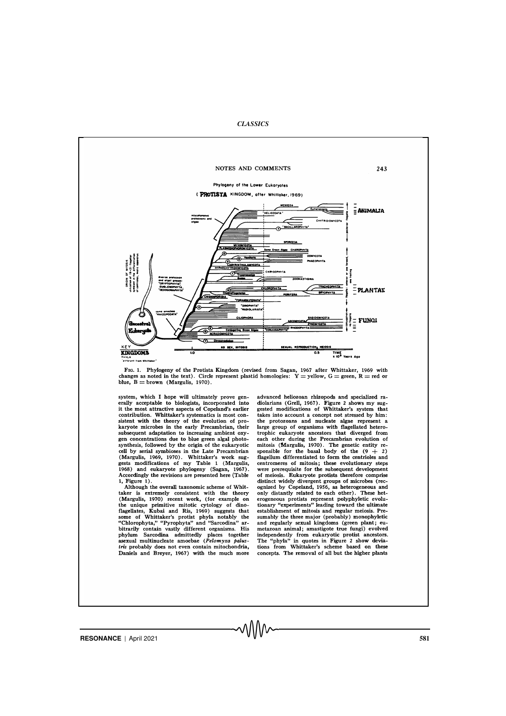*CLASSICS*



FIG. 1. Phylogeny of the Protista Kingdom (revised from Sagan, 1967 after Whittaker, 1969 with changes as noted in the text). Circle represent plastid homologies:  $Y =$ yellow,  $G =$ green,  $R =$ red or blue,  $B =$ brown (Marguli

system, which I hope will ultimately prove generally acceptable to biologists, incorporated into it the most attractive aspects of Copeland's earlier It we most attactive aspects or Coperants starter<br>contribution. Whittaker's systematics is most con-<br>sistent with the theory of the evolution of pro-<br>karyote microbes in the early Precambrian, their subsequent adaptation to increasing ambient oxy-<br>gen concentrations due to blue green algal photosynthesis, followed by the origin of the eukaryotic<br>cell by serial symbioses in the Late Precambrian Contained Margulis, 1969, 1970). Whittaker's work suggests modifications of my Table 1 (Margulis, 1968) and eukaryote phylogeny (Sagan, 1967). Accordingly the revisions are presented here (Table  $1,$  Figure  $1)$ 

Although the overall taxonomic scheme of Whittaker is extremely consistent with the theory<br>(Margulis, 1970) recent work, (for example on (Margulis, 1970) recent work, (for example on<br>the unique primitive mitotic cytology of dino-<br>flagellates, Kubai and Ris, 1969) suggests that<br>some of Whittaker's protist phyla notably the<br>"Chlorophyta," "Pyrophyta" and "Sa Daniels and Breyer, 1967) with the much more

advanced heliozoan rhizopods and specialized radiolarians (Grell, 1967). Figure 2 shows my suggested modifications of Whittaker's system that takes into account a concept not stressed by him: the protozoans and nucleate algae represent a<br>large group of organisms with flagellated heterotarget group of originalism with insperse that diverged from<br>each other during the Precambrian evolution of<br>mitosis (Margulis, 1970). The genetic entity re-<br>sponsible for the basal body of the  $(9 + 2)$ space of mitosis; these evolutionary steps<br>and centromeres of mitosis; these evolutionary steps<br>were prerequisite for the subsequent development<br>of meiosis. Eukaryote protists therefore comprise or mesos. Eukaryote prouss therefore comprise<br>distinct widely divergent groups of microbes (rec-<br>ognized by Copeland, 1956, as heterogeneous and<br>only distantly related to each other). These heterogeneous profits<br>to recogne sumably the three major (probably) monophyletic<br>and regularly sexual kingdoms (green plant; euand regulary social amplication metazonal animal; amatigote true fungi) evolved<br>independently from eukaryotic protist ancestors.<br>The "phyla" in quotes in Figure 2 show devia-<br>tions from Whittaker's scheme based on these concepts. The removal of all but the higher plants

**RESONANCE** | April 2021 581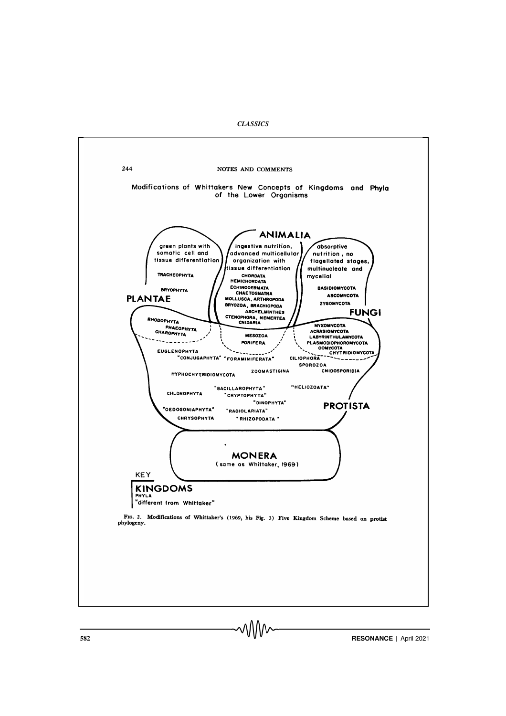*CLASSICS*



**S82 RESONANCE** | April 2021